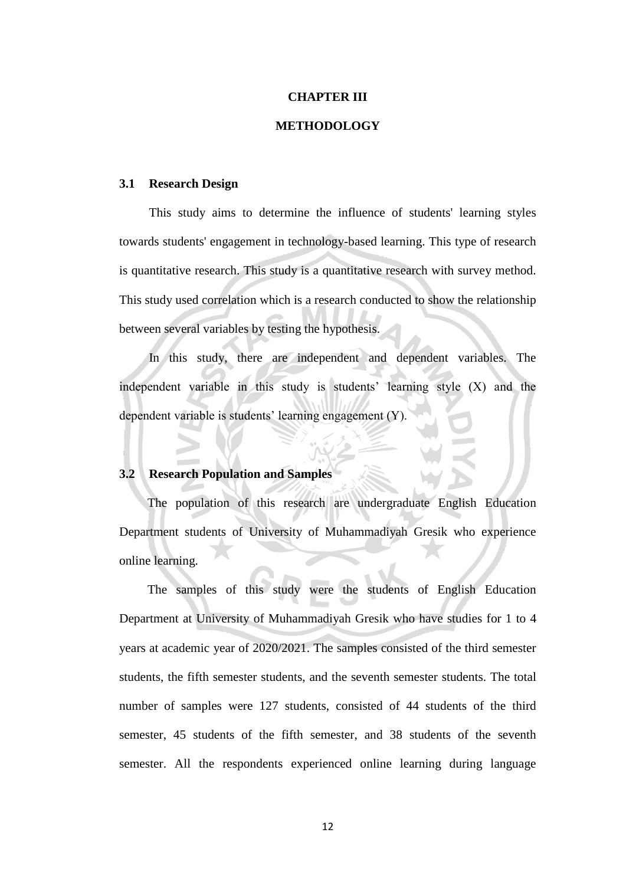#### **CHAPTER III**

#### **METHODOLOGY**

#### **3.1 Research Design**

This study aims to determine the influence of students' learning styles towards students' engagement in technology-based learning. This type of research is quantitative research. This study is a quantitative research with survey method. This study used correlation which is a research conducted to show the relationship between several variables by testing the hypothesis.

In this study, there are independent and dependent variables. The independent variable in this study is students' learning style  $(X)$  and the dependent variable is students' learning engagement (Y).

#### **3.2 Research Population and Samples**

The population of this research are undergraduate English Education Department students of University of Muhammadiyah Gresik who experience online learning.

The samples of this study were the students of English Education Department at University of Muhammadiyah Gresik who have studies for 1 to 4 years at academic year of 2020/2021. The samples consisted of the third semester students, the fifth semester students, and the seventh semester students. The total number of samples were 127 students, consisted of 44 students of the third semester, 45 students of the fifth semester, and 38 students of the seventh semester. All the respondents experienced online learning during language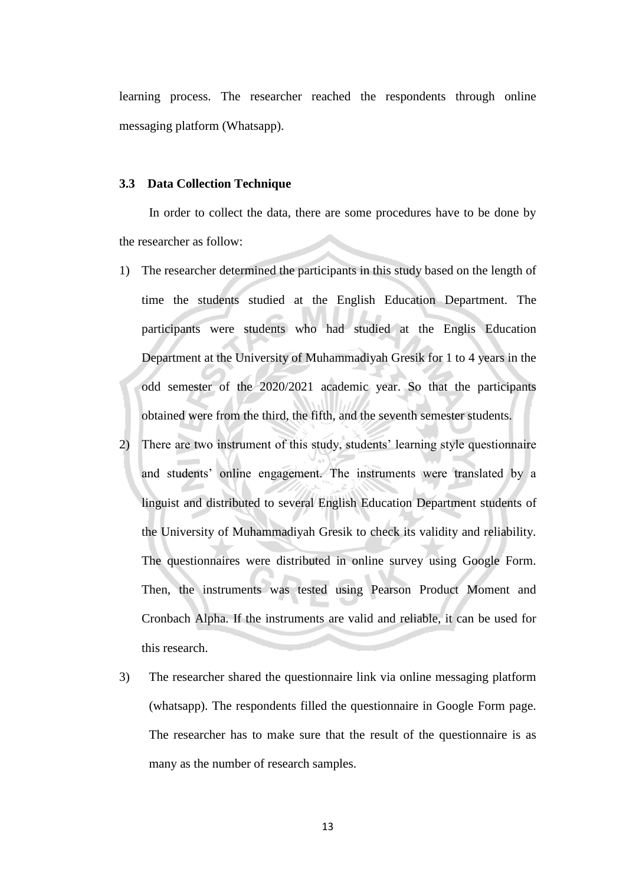learning process. The researcher reached the respondents through online messaging platform (Whatsapp).

### **3.3 Data Collection Technique**

In order to collect the data, there are some procedures have to be done by the researcher as follow:

- 1) The researcher determined the participants in this study based on the length of time the students studied at the English Education Department. The participants were students who had studied at the Englis Education Department at the University of Muhammadiyah Gresik for 1 to 4 years in the odd semester of the 2020/2021 academic year. So that the participants obtained were from the third, the fifth, and the seventh semester students.
- 2) There are two instrument of this study, students' learning style questionnaire and students' online engagement. The instruments were translated by a linguist and distributed to several English Education Department students of the University of Muhammadiyah Gresik to check its validity and reliability. The questionnaires were distributed in online survey using Google Form. Then, the instruments was tested using Pearson Product Moment and Cronbach Alpha. If the instruments are valid and reliable, it can be used for this research.
- 3) The researcher shared the questionnaire link via online messaging platform (whatsapp). The respondents filled the questionnaire in Google Form page. The researcher has to make sure that the result of the questionnaire is as many as the number of research samples.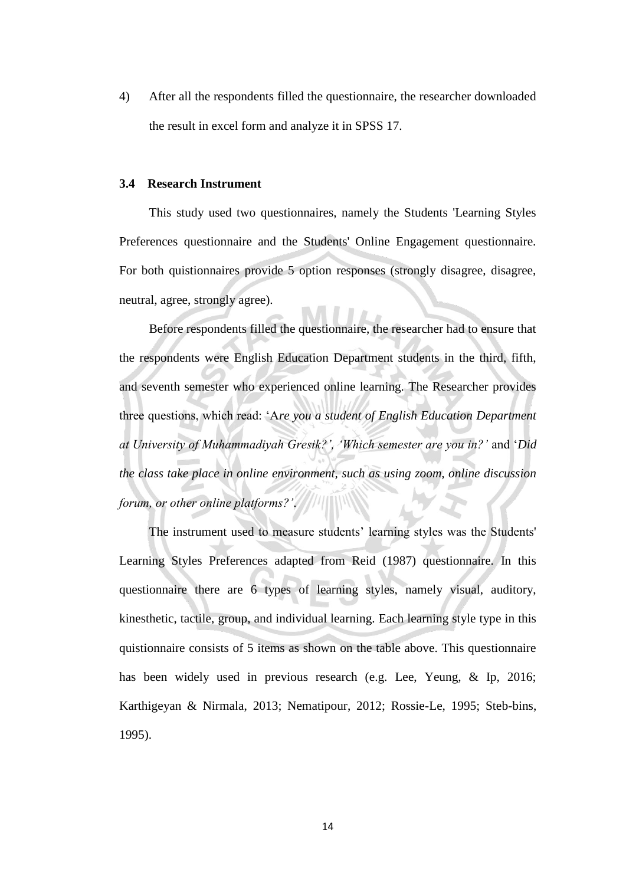4) After all the respondents filled the questionnaire, the researcher downloaded the result in excel form and analyze it in SPSS 17.

## **3.4 Research Instrument**

This study used two questionnaires, namely the Students 'Learning Styles Preferences questionnaire and the Students' Online Engagement questionnaire. For both quistionnaires provide 5 option responses (strongly disagree, disagree, neutral, agree, strongly agree).

Before respondents filled the questionnaire, the researcher had to ensure that the respondents were English Education Department students in the third, fifth, and seventh semester who experienced online learning. The Researcher provides three questions, which read: 'A*re you a student of English Education Department at University of Muhammadiyah Gresik?', 'Which semester are you in?'* and '*Did the class take place in online environment, such as using zoom, online discussion forum, or other online platforms?'*.

The instrument used to measure students' learning styles was the Students' Learning Styles Preferences adapted from Reid (1987) questionnaire. In this questionnaire there are 6 types of learning styles, namely visual, auditory, kinesthetic, tactile, group, and individual learning. Each learning style type in this quistionnaire consists of 5 items as shown on the table above. This questionnaire has been widely used in previous research (e.g. Lee, Yeung, & Ip, 2016; Karthigeyan & Nirmala, 2013; Nematipour, 2012; Rossie-Le, 1995; Steb-bins, 1995).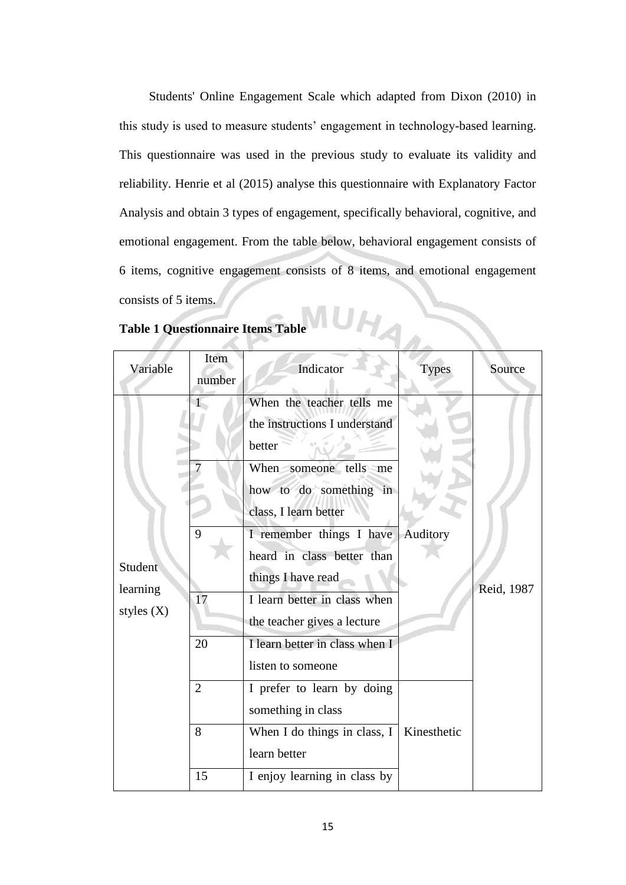Students' Online Engagement Scale which adapted from Dixon (2010) in this study is used to measure students' engagement in technology-based learning. This questionnaire was used in the previous study to evaluate its validity and reliability. Henrie et al (2015) analyse this questionnaire with Explanatory Factor Analysis and obtain 3 types of engagement, specifically behavioral, cognitive, and emotional engagement. From the table below, behavioral engagement consists of 6 items, cognitive engagement consists of 8 items, and emotional engagement consists of 5 items.

| <b>Table 1 Questionnaire Items Table</b> |                |                                                                                                                                                                                                                                                                                                                                                        |              |            |  |
|------------------------------------------|----------------|--------------------------------------------------------------------------------------------------------------------------------------------------------------------------------------------------------------------------------------------------------------------------------------------------------------------------------------------------------|--------------|------------|--|
| Variable                                 | Item<br>number | Indicator                                                                                                                                                                                                                                                                                                                                              | <b>Types</b> | Source     |  |
| Student<br>learning<br>styles $(X)$      | 9<br>17<br>20  | When the teacher tells me<br>the instructions I understand<br>better<br>When someone tells me<br>how to do something in<br>class, I learn better<br>I remember things I have<br>heard in class better than<br>things I have read<br>I learn better in class when<br>the teacher gives a lecture<br>I learn better in class when I<br>listen to someone | Auditory     | Reid, 1987 |  |
|                                          | $\overline{2}$ | I prefer to learn by doing<br>something in class                                                                                                                                                                                                                                                                                                       |              |            |  |
|                                          | 8              | When I do things in class, I<br>learn better                                                                                                                                                                                                                                                                                                           | Kinesthetic  |            |  |
|                                          | 15             | I enjoy learning in class by                                                                                                                                                                                                                                                                                                                           |              |            |  |

## **Table 1 Questionnaire Items Table**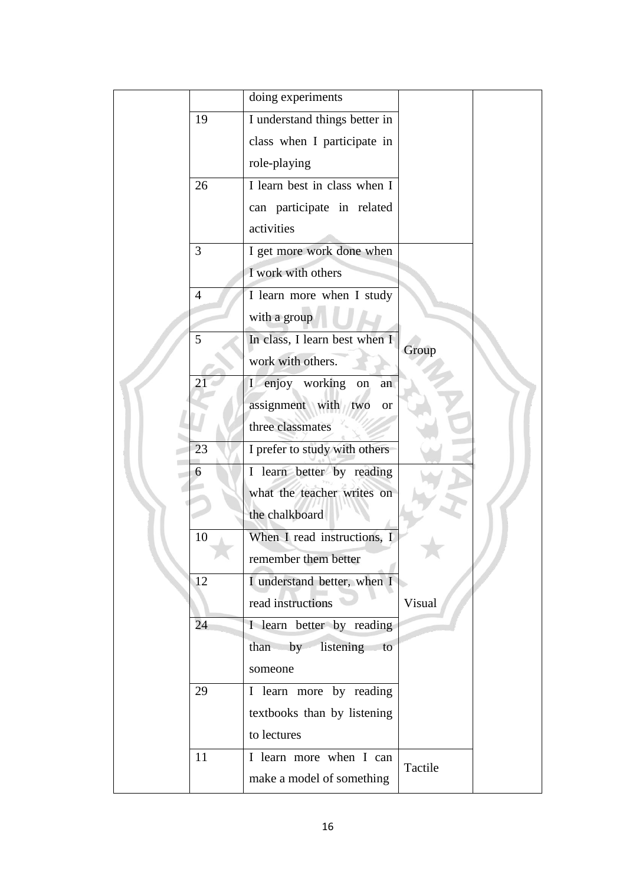|  |                | doing experiments                |         |  |
|--|----------------|----------------------------------|---------|--|
|  | 19             | I understand things better in    |         |  |
|  |                | class when I participate in      |         |  |
|  |                | role-playing                     |         |  |
|  | 26             | I learn best in class when I     |         |  |
|  |                | can participate in related       |         |  |
|  |                | activities                       |         |  |
|  | 3              | I get more work done when        |         |  |
|  |                | I work with others               |         |  |
|  | $\overline{4}$ | I learn more when I study        |         |  |
|  |                | with a group                     |         |  |
|  | 5              | In class, I learn best when I    | Group   |  |
|  |                | work with others.                |         |  |
|  | $2^{\circ}$    | I enjoy working<br>on<br>an      |         |  |
|  |                | assignment with two<br><b>or</b> |         |  |
|  |                | three classmates                 |         |  |
|  | 23             | I prefer to study with others    |         |  |
|  | 6              | I learn better by reading        |         |  |
|  |                | what the teacher writes on       |         |  |
|  |                | the chalkboard                   |         |  |
|  | 10             | When I read instructions, I      |         |  |
|  |                | remember them better             |         |  |
|  | 12             | I understand better, when I      |         |  |
|  |                | read instructions                | Visual  |  |
|  | 24             | I learn better by reading        |         |  |
|  |                | by<br>listening<br>than<br>to    |         |  |
|  |                | someone                          |         |  |
|  | 29             | I learn more by reading          |         |  |
|  |                | textbooks than by listening      |         |  |
|  |                | to lectures                      |         |  |
|  | 11             | I learn more when I can          |         |  |
|  |                | make a model of something        | Tactile |  |
|  |                |                                  |         |  |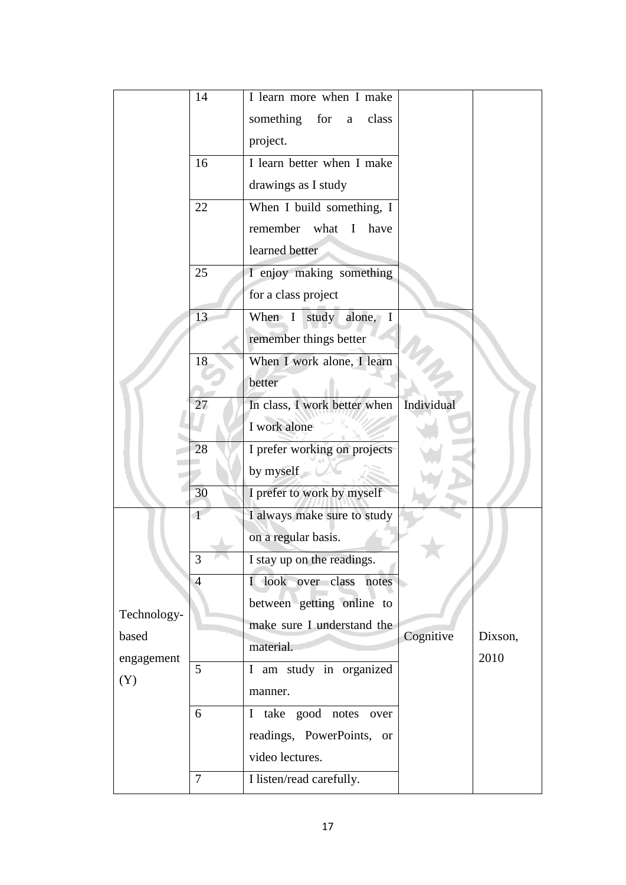|             | 14             | I learn more when I make                  |            |         |
|-------------|----------------|-------------------------------------------|------------|---------|
|             |                | something<br>for<br>class<br>$\mathbf{a}$ |            |         |
|             |                | project.                                  |            |         |
|             | 16             | I learn better when I make                |            |         |
|             |                | drawings as I study                       |            |         |
|             | 22             | When I build something, I                 |            |         |
|             |                | remember<br>what<br>$\bf{I}$<br>have      |            |         |
|             |                | learned better                            |            |         |
|             | 25             | I enjoy making something                  |            |         |
|             |                | for a class project                       |            |         |
|             | 13             | study alone, I<br>When $I$                |            |         |
|             |                | remember things better                    |            |         |
|             | 18             | When I work alone, I learn                |            |         |
|             |                | better                                    |            |         |
|             | 27             | In class, I work better when              | Individual |         |
|             |                | I work alone                              |            |         |
|             | 28             | I prefer working on projects              |            |         |
|             |                | by myself                                 |            |         |
|             | 30             | I prefer to work by myself                |            |         |
|             | $\mathbf{1}$   | I always make sure to study               |            |         |
|             |                | on a regular basis.                       |            |         |
|             | 3              | I stay up on the readings.                |            |         |
|             | 4              | I look over class notes                   |            |         |
| Technology- |                | between getting online to                 |            |         |
| based       |                | make sure I understand the                | Cognitive  | Dixson, |
| engagement  |                | material.                                 |            | 2010    |
| (Y)         | 5              | I am study in organized                   |            |         |
|             |                | manner.                                   |            |         |
|             | 6              | I take good notes over                    |            |         |
|             |                | readings, PowerPoints, or                 |            |         |
|             |                | video lectures.                           |            |         |
|             | $\overline{7}$ | I listen/read carefully.                  |            |         |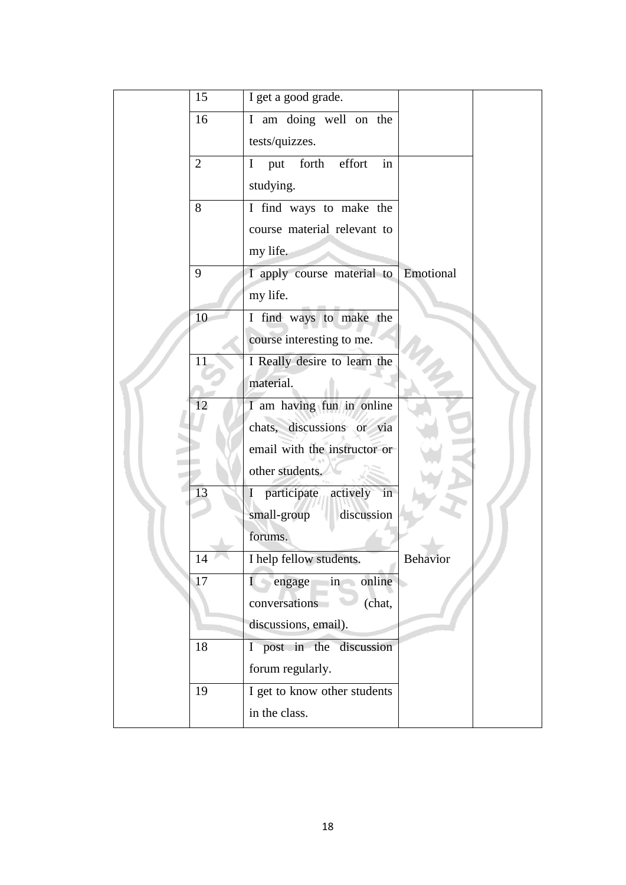|  | 15             | I get a good grade.                          |                 |  |
|--|----------------|----------------------------------------------|-----------------|--|
|  | 16             | I am doing well on the                       |                 |  |
|  |                | tests/quizzes.                               |                 |  |
|  | $\overline{2}$ | forth<br>effort<br>$\mathbf{I}$<br>put<br>in |                 |  |
|  |                | studying.                                    |                 |  |
|  | 8              | I find ways to make the                      |                 |  |
|  |                | course material relevant to                  |                 |  |
|  |                | my life.                                     |                 |  |
|  | 9              | I apply course material to                   | Emotional       |  |
|  |                | my life.                                     |                 |  |
|  | 10             | I find ways to make the                      |                 |  |
|  |                | course interesting to me.                    |                 |  |
|  | 11             | I Really desire to learn the                 |                 |  |
|  |                | material.                                    |                 |  |
|  | 12             | I am having fun in online                    |                 |  |
|  |                | chats, discussions or via                    |                 |  |
|  |                | email with the instructor or                 |                 |  |
|  |                | other students.                              |                 |  |
|  | 13             | I participate actively<br>in                 |                 |  |
|  |                | small-group<br>discussion                    |                 |  |
|  |                | forums.                                      |                 |  |
|  | 14             | I help fellow students.                      | <b>Behavior</b> |  |
|  | 17             | engage<br>in online<br>$\mathbf{I}$          |                 |  |
|  |                | conversations<br>(chat,                      |                 |  |
|  |                | discussions, email).                         |                 |  |
|  | 18             | I post in the discussion                     |                 |  |
|  |                | forum regularly.                             |                 |  |
|  | 19             | I get to know other students                 |                 |  |
|  |                | in the class.                                |                 |  |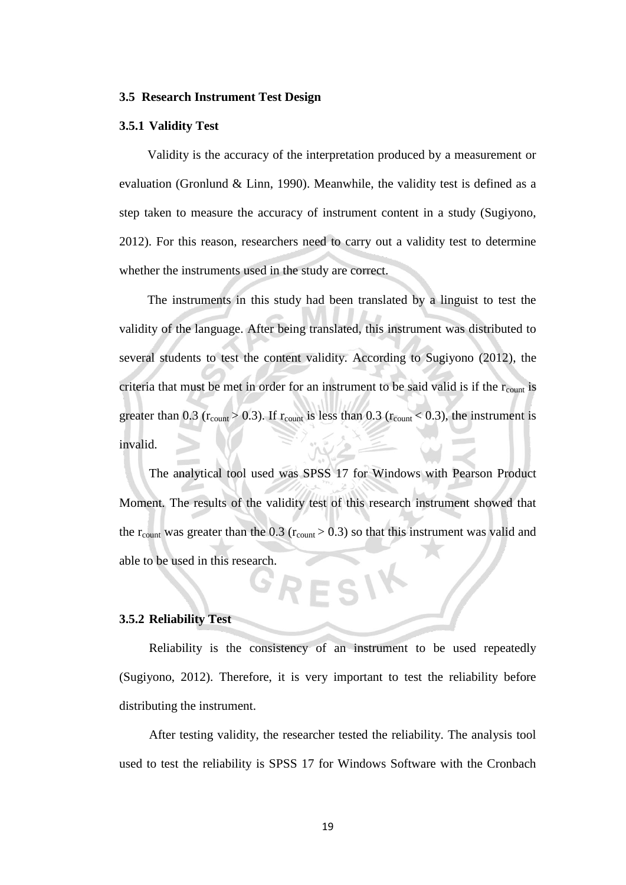#### **3.5 Research Instrument Test Design**

#### **3.5.1 Validity Test**

Validity is the accuracy of the interpretation produced by a measurement or evaluation (Gronlund & Linn, 1990). Meanwhile, the validity test is defined as a step taken to measure the accuracy of instrument content in a study (Sugiyono, 2012). For this reason, researchers need to carry out a validity test to determine whether the instruments used in the study are correct.

The instruments in this study had been translated by a linguist to test the validity of the language. After being translated, this instrument was distributed to several students to test the content validity. According to Sugiyono (2012), the criteria that must be met in order for an instrument to be said valid is if the  $r_{\text{count}}$  is greater than 0.3 ( $r_{\text{count}} > 0.3$ ). If  $r_{\text{count}}$  is less than 0.3 ( $r_{\text{count}} < 0.3$ ), the instrument is invalid.

The analytical tool used was SPSS 17 for Windows with Pearson Product Moment. The results of the validity test of this research instrument showed that the  $r_{\text{count}}$  was greater than the 0.3 ( $r_{\text{count}} > 0.3$ ) so that this instrument was valid and able to be used in this research. RESIY

# **3.5.2 Reliability Test**

Reliability is the consistency of an instrument to be used repeatedly (Sugiyono, 2012). Therefore, it is very important to test the reliability before distributing the instrument.

After testing validity, the researcher tested the reliability. The analysis tool used to test the reliability is SPSS 17 for Windows Software with the Cronbach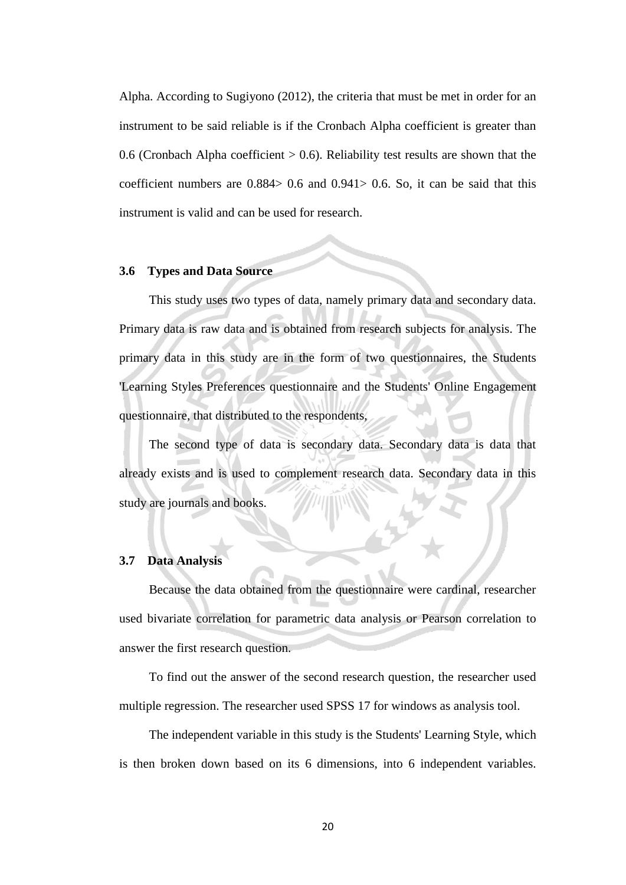Alpha. According to Sugiyono (2012), the criteria that must be met in order for an instrument to be said reliable is if the Cronbach Alpha coefficient is greater than 0.6 (Cronbach Alpha coefficient  $> 0.6$ ). Reliability test results are shown that the coefficient numbers are  $0.884 > 0.6$  and  $0.941 > 0.6$ . So, it can be said that this instrument is valid and can be used for research.

## **3.6 Types and Data Source**

This study uses two types of data, namely primary data and secondary data. Primary data is raw data and is obtained from research subjects for analysis. The primary data in this study are in the form of two questionnaires, the Students 'Learning Styles Preferences questionnaire and the Students' Online Engagement questionnaire, that distributed to the respondents,

The second type of data is secondary data. Secondary data is data that already exists and is used to complement research data. Secondary data in this study are journals and books.

### **3.7 Data Analysis**

Because the data obtained from the questionnaire were cardinal, researcher used bivariate correlation for parametric data analysis or Pearson correlation to answer the first research question.

To find out the answer of the second research question, the researcher used multiple regression. The researcher used SPSS 17 for windows as analysis tool.

The independent variable in this study is the Students' Learning Style, which is then broken down based on its 6 dimensions, into 6 independent variables.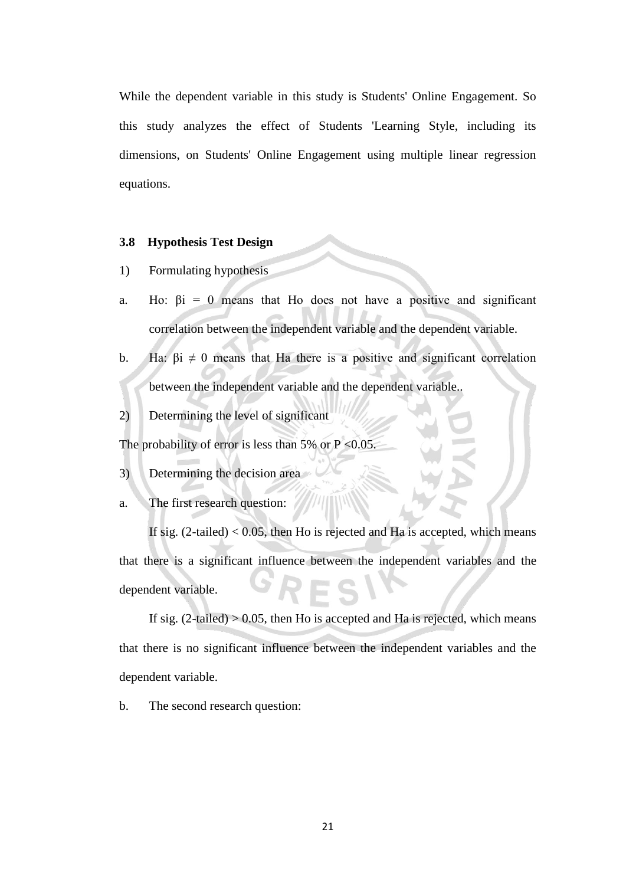While the dependent variable in this study is Students' Online Engagement. So this study analyzes the effect of Students 'Learning Style, including its dimensions, on Students' Online Engagement using multiple linear regression equations.

#### **3.8 Hypothesis Test Design**

- 1) Formulating hypothesis
- a. Ho:  $\beta i = 0$  means that Ho does not have a positive and significant correlation between the independent variable and the dependent variable.
- b. Ha:  $\beta i \neq 0$  means that Ha there is a positive and significant correlation between the independent variable and the dependent variable..
- 2) Determining the level of significant

The probability of error is less than 5% or  $P < 0.05$ .

- 3) Determining the decision area
- a. The first research question:

If sig.  $(2-tailed) < 0.05$ , then Ho is rejected and Ha is accepted, which means that there is a significant influence between the independent variables and the dependent variable.

If sig.  $(2-tailed) > 0.05$ , then Ho is accepted and Ha is rejected, which means that there is no significant influence between the independent variables and the dependent variable.

b. The second research question: